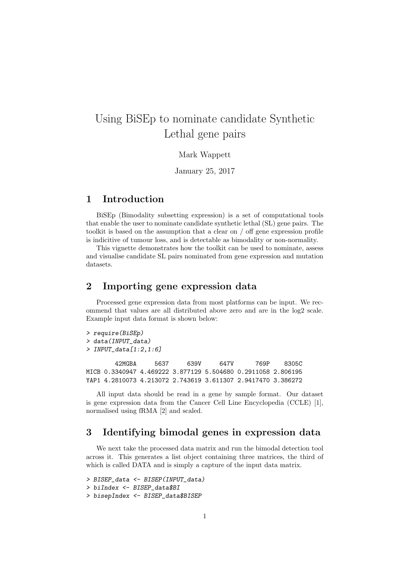# Using BiSEp to nominate candidate Synthetic Lethal gene pairs

#### Mark Wappett

January 25, 2017

#### 1 Introduction

BiSEp (Bimodality subsetting expression) is a set of computational tools that enable the user to nominate candidate synthetic lethal (SL) gene pairs. The toolkit is based on the assumption that a clear on / off gene expression profile is indicitive of tumour loss, and is detectable as bimodality or non-normality.

This vignette demonstrates how the toolkit can be used to nominate, assess and visualise candidate SL pairs nominated from gene expression and mutation datasets.

### 2 Importing gene expression data

Processed gene expression data from most platforms can be input. We recommend that values are all distributed above zero and are in the log2 scale. Example input data format is shown below:

```
> require(BiSEp)
> data(INPUT_data)
> INPUT_data[1:2,1:6]
       42MGBA 5637 639V 647V 769P 8305C
MICB 0.3340947 4.469222 3.877129 5.504680 0.2911058 2.806195
YAP1 4.2810073 4.213072 2.743619 3.611307 2.9417470 3.386272
```
All input data should be read in a gene by sample format. Our dataset is gene expression data from the Cancer Cell Line Encyclopedia (CCLE) [1], normalised using fRMA [2] and scaled.

#### 3 Identifying bimodal genes in expression data

We next take the processed data matrix and run the bimodal detection tool across it. This generates a list object containing three matrices, the third of which is called DATA and is simply a capture of the input data matrix.

```
> BISEP_data <- BISEP(INPUT_data)
> biIndex <- BISEP_data$BI
> bisepIndex <- BISEP_data$BISEP
```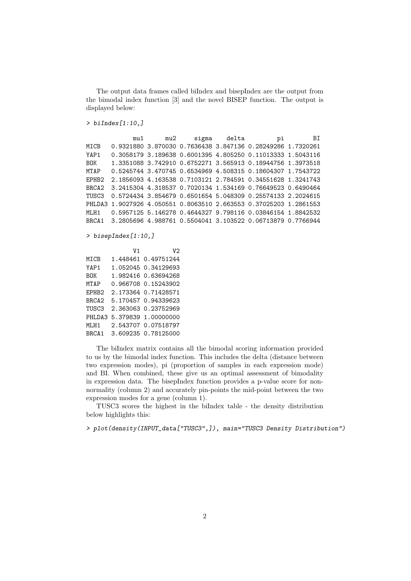The output data frames called biIndex and bisepIndex are the output from the bimodal index function [3] and the novel BISEP function. The output is displayed below:

 $> biIndex[1:10,]$ 

```
mu1 mu2 sigma delta pi BI
MICB 0.9321880 3.870030 0.7636438 3.847136 0.28249286 1.7320261
YAP1 0.3058179 3.189638 0.6001395 4.805250 0.11013333 1.5043116
BOK 1.3351088 3.742910 0.6752271 3.565913 0.18944756 1.3973518
MTAP 0.5245744 3.470745 0.6534969 4.508315 0.18604307 1.7543722
EPHB2 2.1856093 4.163538 0.7103121 2.784591 0.34551628 1.3241743
BRCA2 3.2415304 4.318537 0.7020134 1.534169 0.76649523 0.6490464
TUSC3 0.5724434 3.854679 0.6501654 5.048309 0.25574133 2.2024615
PHLDA3 1.9027926 4.050551 0.8063510 2.663553 0.37025203 1.2861553
MLH1 0.5957125 5.146278 0.4644327 9.798116 0.03846154 1.8842532
BRCA1 3.2805696 4.988761 0.5504041 3.103522 0.06713879 0.7766944
```
> bisepIndex[1:10,]

|                   | V1 | V2                  |
|-------------------|----|---------------------|
| MICB              |    | 1.448461 0.49751244 |
| YAP1              |    | 1.052045 0.34129693 |
| <b>BUK</b>        |    | 1.982416 0.63694268 |
| MTAP              |    | 0.966708 0.15243902 |
| EPHB <sub>2</sub> |    | 2.173364 0.71428571 |
| BRCA <sub>2</sub> |    | 5.170457 0.94339623 |
| TUSC3             |    | 2.363063 0.23752969 |
| PHI.DA3           |    | 5.379839 1.00000000 |
| MT.H1             |    | 2.543707 0.07518797 |
| BRCA1             |    | 3.609235 0.78125000 |

The biIndex matrix contains all the bimodal scoring information provided to us by the bimodal index function. This includes the delta (distance between two expression modes), pi (proportion of samples in each expression mode) and BI. When combined, these give us an optimal assessment of bimodality in expression data. The bisepIndex function provides a p-value score for nonnormality (column 2) and accurately pin-points the mid-point between the two expression modes for a gene (column 1).

TUSC3 scores the highest in the biIndex table - the density distribution below highlights this:

> plot(density(INPUT\_data["TUSC3",]), main="TUSC3 Density Distribution")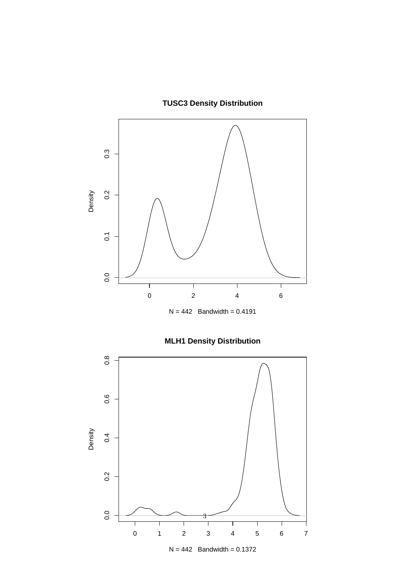## **TUSC3 Density Distribution**



## **MLH1 Density Distribution**

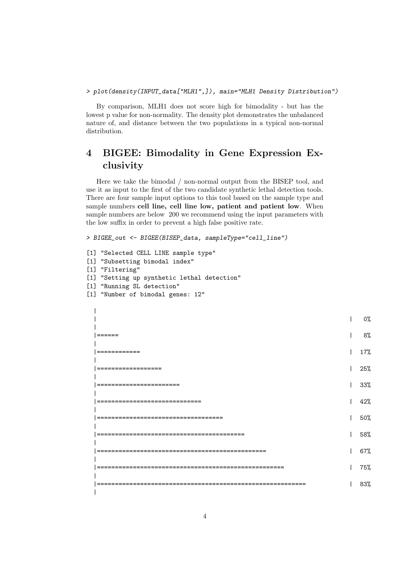By comparison, MLH1 does not score high for bimodality - but has the lowest p value for non-normality. The density plot demonstrates the unbalanced nature of, and distance between the two populations in a typical non-normal distribution.

### 4 BIGEE: Bimodality in Gene Expression Exclusivity

Here we take the bimodal / non-normal output from the BISEP tool, and use it as input to the first of the two candidate synthetic lethal detection tools. There are four sample input options to this tool based on the sample type and sample numbers cell line, cell line low, patient and patient low. When sample numbers are below 200 we recommend using the input parameters with the low suffix in order to prevent a high false positive rate.

> BIGEE\_out <- BIGEE(BISEP\_data, sampleType="cell\_line") [1] "Selected CELL LINE sample type" [1] "Subsetting bimodal index" [1] "Filtering" [1] "Setting up synthetic lethal detection" [1] "Running SL detection" [1] "Number of bimodal genes: 12" |  $|$  0% and  $|$  0% and  $|$  0% and  $|$  0% and  $|$  0% and  $|$  0% and  $|$  0% and  $|$  0% and  $|$  0% and  $|$  0% and  $|$  0% and  $|$  0% and  $|$  0% and  $|$  0% and  $|$  0% and  $|$  0% and  $|$  0% and  $|$  0% and  $|$  0% and  $|$  0% and | |====== | 8% | |============ | 17% | |================== | 25% | |======================= | 33% | |============================= | 42% | |=================================== | 50% | |========================================= | 58% | |=============================================== | 67% | |==================================================== | 75% | |========================================================== | 83% |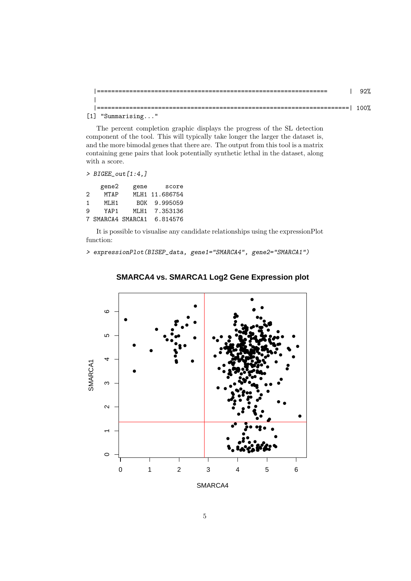| -----------<br>------ | 100% |
|-----------------------|------|
| $[1]$ "Summarising"   |      |

The percent completion graphic displays the progress of the SL detection component of the tool. This will typically take longer the larger the dataset is, and the more bimodal genes that there are. The output from this tool is a matrix containing gene pairs that look potentially synthetic lethal in the dataset, along with a score.

```
> BIGEE_out [1:4,]
```

|   | gene2             | gene       | score          |
|---|-------------------|------------|----------------|
| 2 | <b>MTAP</b>       |            | MLH1 11.686754 |
| 1 | MT.H1             | <b>BUK</b> | 9.995059       |
| 9 | YAP1              | MT.H1      | 7.353136       |
|   | 7 SMARCA4 SMARCA1 |            | 6.814576       |

It is possible to visualise any candidate relationships using the expressionPlot function:

> expressionPlot(BISEP\_data, gene1="SMARCA4", gene2="SMARCA1")



#### **SMARCA4 vs. SMARCA1 Log2 Gene Expression plot**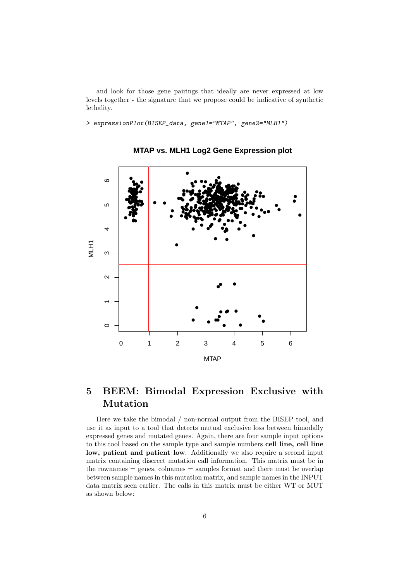and look for those gene pairings that ideally are never expressed at low levels together - the signature that we propose could be indicative of synthetic lethality.

> expressionPlot(BISEP\_data, gene1="MTAP", gene2="MLH1")



**MTAP vs. MLH1 Log2 Gene Expression plot**

### 5 BEEM: Bimodal Expression Exclusive with Mutation

Here we take the bimodal / non-normal output from the BISEP tool, and use it as input to a tool that detects mutual exclusive loss between bimodally expressed genes and mutated genes. Again, there are four sample input options to this tool based on the sample type and sample numbers cell line, cell line low, patient and patient low. Additionally we also require a second input matrix containing discreet mutation call information. This matrix must be in  $the$  rownames  $=$  genes, colnames  $=$  samples format and there must be overlap between sample names in this mutation matrix, and sample names in the INPUT data matrix seen earlier. The calls in this matrix must be either WT or MUT as shown below: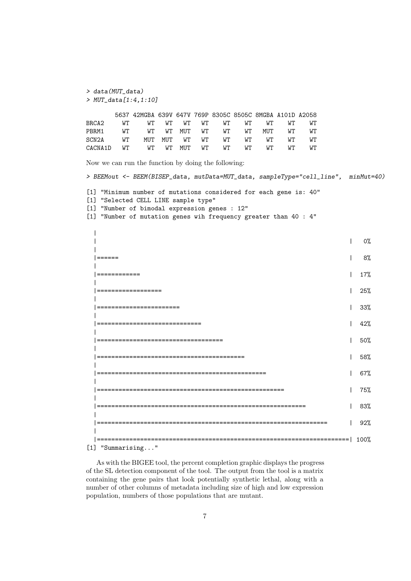```
> data(MUT_data)
> MUT_data[1:4,1:10]
```

|                                       | 5637 42MGBA 639V 647V 769P 8305C 8505C 8MGBA A101D A2058 |  |  |  |  |
|---------------------------------------|----------------------------------------------------------|--|--|--|--|
| BRCA2                                 | WT WT WT WT WT WT WT WT WT WT                            |  |  |  |  |
| PBRM1 WT WT WT MUT WT WT WT MUT WT WT |                                                          |  |  |  |  |
| SCN2A WT MUT MUT WT WT WT WT WT WT WT |                                                          |  |  |  |  |
|                                       |                                                          |  |  |  |  |

Now we can run the function by doing the following:

> BEEMout <- BEEM(BISEP\_data, mutData=MUT\_data, sampleType="cell\_line", minMut=40) [1] "Minimum number of mutations considered for each gene is: 40" [1] "Selected CELL LINE sample type" [1] "Number of bimodal expression genes : 12" [1] "Number of mutation genes wih frequency greater than 40 : 4" |  $|$  0% and  $|$  0% and  $|$  0% and  $|$  0% and  $|$  0% and  $|$  0% and  $|$  0% and  $|$  0% and  $|$  0% and  $|$  0% and  $|$  0% and  $|$  0% and  $|$  0% and  $|$  0% and  $|$  0% and  $|$  0% and  $|$  0% and  $|$  0% and  $|$  0% and  $|$  0% and | |====== | 8% | |============ | 17% | |================== | 25% | |======================= | 33% | |============================= | 42% | |=================================== | 50% | |========================================= | 58% | |=============================================== | 67% | |==================================================== | 75% | |========================================================== | 83%  $\perp$ |================================================================ | 92% | |======================================================================| 100% [1] "Summarising..."

As with the BIGEE tool, the percent completion graphic displays the progress of the SL detection component of the tool. The output from the tool is a matrix containing the gene pairs that look potentially synthetic lethal, along with a number of other columns of metadata including size of high and low expression population, numbers of those populations that are mutant.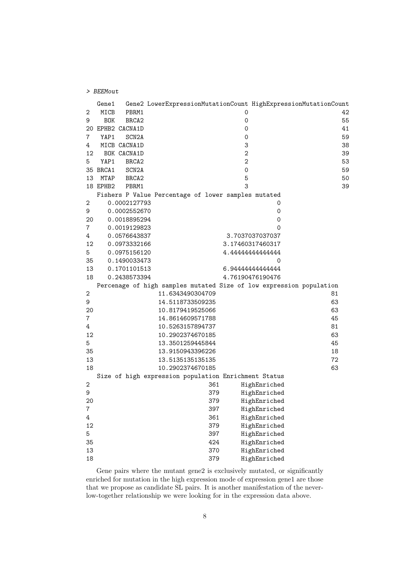|    | Gene1      |                    | Gene2 LowerExpressionMutationCount HighExpressionMutationCount      |                     |                  |    |    |
|----|------------|--------------------|---------------------------------------------------------------------|---------------------|------------------|----|----|
| 2  | MICB       | PBRM1              |                                                                     | 0                   |                  |    | 42 |
| 9  | <b>BOK</b> | BRCA <sub>2</sub>  |                                                                     | 0                   |                  |    | 55 |
|    |            | 20 EPHB2 CACNA1D   |                                                                     | 0                   |                  |    | 41 |
| 7  | YAP1       | SCN <sub>2</sub> A |                                                                     | $\mathbf 0$         |                  |    | 59 |
| 4  |            | MICB CACNA1D       |                                                                     | 3                   |                  |    | 38 |
| 12 |            | BOK CACNA1D        |                                                                     | $\overline{2}$      |                  |    | 39 |
| 5  | YAP1       | BRCA <sub>2</sub>  |                                                                     | $\overline{2}$      |                  |    | 53 |
|    | 35 BRCA1   | SCN <sub>2</sub> A |                                                                     | $\mathsf{O}\xspace$ |                  |    | 59 |
| 13 | MTAP       | BRCA <sub>2</sub>  |                                                                     | 5                   |                  |    | 50 |
|    | 18 EPHB2   | PBRM1              |                                                                     | 3                   |                  |    | 39 |
|    |            |                    | Fishers P Value Percentage of lower samples mutated                 |                     |                  |    |    |
| 2  |            | 0.0002127793       |                                                                     |                     | 0                |    |    |
| 9  |            | 0.0002552670       |                                                                     |                     | $\mathbf 0$      |    |    |
| 20 |            | 0.0018895294       |                                                                     |                     | $\mathbf 0$      |    |    |
| 7  |            | 0.0019129823       |                                                                     |                     | 0                |    |    |
| 4  |            | 0.0576643837       |                                                                     |                     | 3.7037037037037  |    |    |
| 12 |            | 0.0973332166       |                                                                     |                     | 3.17460317460317 |    |    |
| 5  |            | 0.0975156120       |                                                                     |                     | 4.44444444444444 |    |    |
| 35 |            | 0.1490033473       |                                                                     |                     | $\mathbf 0$      |    |    |
| 13 |            | 0.1701101513       |                                                                     |                     | 6.9444444444444  |    |    |
| 18 |            | 0.2438573394       |                                                                     |                     | 4.76190476190476 |    |    |
|    |            |                    | Percenage of high samples mutated Size of low expression population |                     |                  |    |    |
| 2  |            |                    | 11.6343490304709                                                    |                     |                  | 81 |    |
| 9  |            |                    | 14.5118733509235                                                    |                     |                  | 63 |    |
| 20 |            |                    | 10.8179419525066                                                    |                     |                  | 63 |    |
| 7  |            |                    | 14.8614609571788                                                    |                     |                  | 45 |    |
| 4  |            |                    | 10.5263157894737                                                    |                     |                  | 81 |    |
| 12 |            |                    | 10.2902374670185                                                    |                     |                  | 63 |    |
| 5  |            |                    | 13.3501259445844                                                    |                     |                  | 45 |    |
| 35 |            |                    | 13.9150943396226                                                    |                     |                  | 18 |    |
| 13 |            |                    | 13.5135135135135                                                    |                     |                  | 72 |    |
| 18 |            |                    | 10.2902374670185                                                    |                     |                  | 63 |    |
|    |            |                    | Size of high expression population Enrichment Status                |                     |                  |    |    |
| 2  |            |                    | 361                                                                 |                     | HighEnriched     |    |    |
| 9  |            |                    | 379                                                                 |                     | HighEnriched     |    |    |
| 20 |            |                    | 379                                                                 |                     | HighEnriched     |    |    |
| 7  |            |                    | 397                                                                 |                     | HighEnriched     |    |    |
| 4  |            |                    | 361                                                                 |                     | HighEnriched     |    |    |
| 12 |            |                    | 379                                                                 |                     | HighEnriched     |    |    |
| 5  |            |                    | 397                                                                 |                     | HighEnriched     |    |    |
| 35 |            |                    | 424                                                                 |                     | HighEnriched     |    |    |
| 13 |            |                    | 370                                                                 |                     | HighEnriched     |    |    |
| 18 |            |                    |                                                                     |                     |                  |    |    |
|    |            |                    | 379                                                                 |                     | HighEnriched     |    |    |

> BEEMout

Gene pairs where the mutant gene2 is exclusively mutated, or significantly enriched for mutation in the high expression mode of expression gene1 are those that we propose as candidate SL pairs. It is another manifestation of the neverlow-together relationship we were looking for in the expression data above.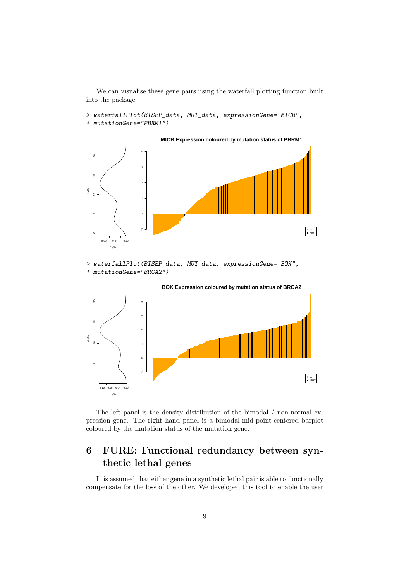We can visualise these gene pairs using the waterfall plotting function built into the package

> waterfallPlot(BISEP\_data, MUT\_data, expressionGene="MICB", + mutationGene="PBRM1")



> waterfallPlot(BISEP\_data, MUT\_data, expressionGene="BOK", + mutationGene="BRCA2")



The left panel is the density distribution of the bimodal / non-normal expression gene. The right hand panel is a bimodal-mid-point-centered barplot coloured by the mutation status of the mutation gene.

## 6 FURE: Functional redundancy between synthetic lethal genes

It is assumed that either gene in a synthetic lethal pair is able to functionally compensate for the loss of the other. We developed this tool to enable the user